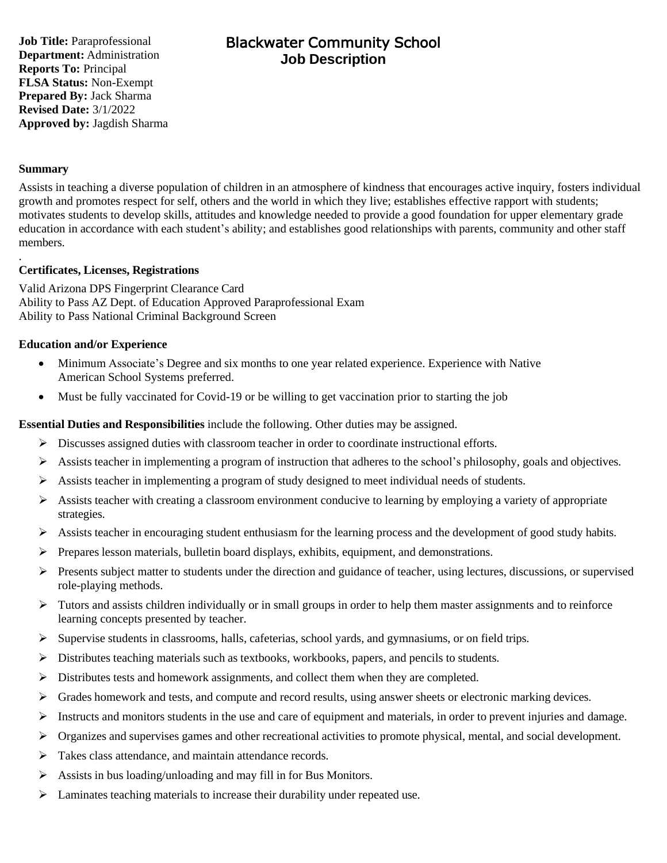**Job Title:** Paraprofessional **Department:** Administration **Reports To:** Principal **FLSA Status:** Non-Exempt **Prepared By:** Jack Sharma **Revised Date:** 3/1/2022 **Approved by:** Jagdish Sharma

# Blackwater Community School **Job Description**

### **Summary**

.

Assists in teaching a diverse population of children in an atmosphere of kindness that encourages active inquiry, fosters individual growth and promotes respect for self, others and the world in which they live; establishes effective rapport with students; motivates students to develop skills, attitudes and knowledge needed to provide a good foundation for upper elementary grade education in accordance with each student's ability; and establishes good relationships with parents, community and other staff members.

#### **Certificates, Licenses, Registrations**

Valid Arizona DPS Fingerprint Clearance Card Ability to Pass AZ Dept. of Education Approved Paraprofessional Exam Ability to Pass National Criminal Background Screen

#### **Education and/or Experience**

- Minimum Associate's Degree and six months to one year related experience. Experience with Native American School Systems preferred.
- Must be fully vaccinated for Covid-19 or be willing to get vaccination prior to starting the job

#### **Essential Duties and Responsibilities** include the following. Other duties may be assigned.

- $\triangleright$  Discusses assigned duties with classroom teacher in order to coordinate instructional efforts.
- ➢ Assists teacher in implementing a program of instruction that adheres to the school's philosophy, goals and objectives.
- $\triangleright$  Assists teacher in implementing a program of study designed to meet individual needs of students.
- $\triangleright$  Assists teacher with creating a classroom environment conducive to learning by employing a variety of appropriate strategies.
- ➢ Assists teacher in encouraging student enthusiasm for the learning process and the development of good study habits.
- $\triangleright$  Prepares lesson materials, bulletin board displays, exhibits, equipment, and demonstrations.
- $\triangleright$  Presents subject matter to students under the direction and guidance of teacher, using lectures, discussions, or supervised role-playing methods.
- ➢ Tutors and assists children individually or in small groups in order to help them master assignments and to reinforce learning concepts presented by teacher.
- $\triangleright$  Supervise students in classrooms, halls, cafeterias, school yards, and gymnasiums, or on field trips.
- $\triangleright$  Distributes teaching materials such as textbooks, workbooks, papers, and pencils to students.
- ➢ Distributes tests and homework assignments, and collect them when they are completed.
- $\triangleright$  Grades homework and tests, and compute and record results, using answer sheets or electronic marking devices.
- $\triangleright$  Instructs and monitors students in the use and care of equipment and materials, in order to prevent injuries and damage.
- $\triangleright$  Organizes and supervises games and other recreational activities to promote physical, mental, and social development.
- ➢ Takes class attendance, and maintain attendance records.
- $\triangleright$  Assists in bus loading/unloading and may fill in for Bus Monitors.
- ➢ Laminates teaching materials to increase their durability under repeated use.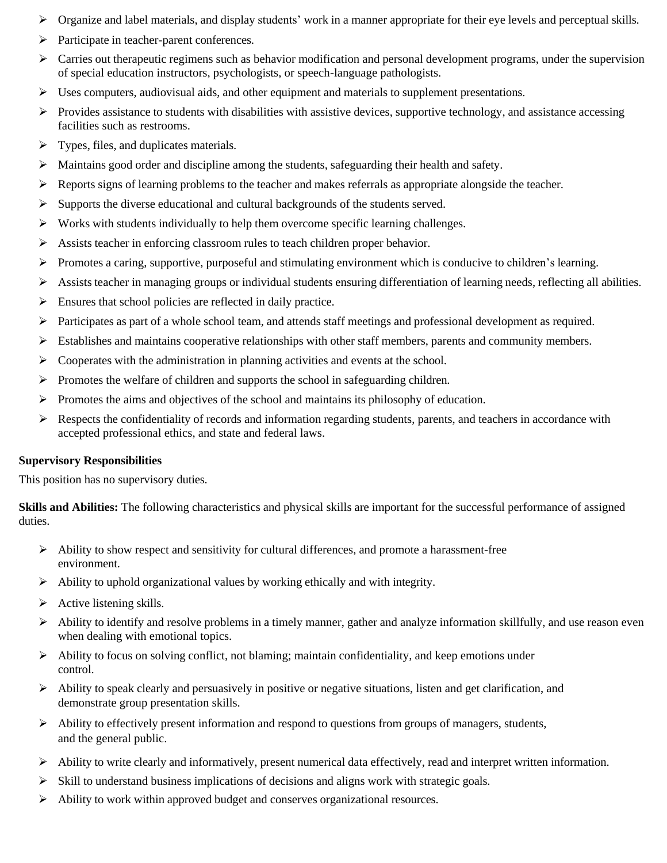- ➢ Organize and label materials, and display students' work in a manner appropriate for their eye levels and perceptual skills.
- ➢ Participate in teacher-parent conferences.
- $\triangleright$  Carries out therapeutic regimens such as behavior modification and personal development programs, under the supervision of special education instructors, psychologists, or speech-language pathologists.
- $\triangleright$  Uses computers, audiovisual aids, and other equipment and materials to supplement presentations.
- $\triangleright$  Provides assistance to students with disabilities with assistive devices, supportive technology, and assistance accessing facilities such as restrooms.
- $\triangleright$  Types, files, and duplicates materials.
- ➢ Maintains good order and discipline among the students, safeguarding their health and safety.
- ➢ Reports signs of learning problems to the teacher and makes referrals as appropriate alongside the teacher.
- ➢ Supports the diverse educational and cultural backgrounds of the students served.
- $\triangleright$  Works with students individually to help them overcome specific learning challenges.
- $\triangleright$  Assists teacher in enforcing classroom rules to teach children proper behavior.
- ➢ Promotes a caring, supportive, purposeful and stimulating environment which is conducive to children's learning.
- $\triangleright$  Assists teacher in managing groups or individual students ensuring differentiation of learning needs, reflecting all abilities.
- $\triangleright$  Ensures that school policies are reflected in daily practice.
- ➢ Participates as part of a whole school team, and attends staff meetings and professional development as required.
- ➢ Establishes and maintains cooperative relationships with other staff members, parents and community members.
- $\triangleright$  Cooperates with the administration in planning activities and events at the school.
- $\triangleright$  Promotes the welfare of children and supports the school in safeguarding children.
- $\triangleright$  Promotes the aims and objectives of the school and maintains its philosophy of education.
- $\triangleright$  Respects the confidentiality of records and information regarding students, parents, and teachers in accordance with accepted professional ethics, and state and federal laws.

## **Supervisory Responsibilities**

This position has no supervisory duties.

**Skills and Abilities:** The following characteristics and physical skills are important for the successful performance of assigned duties.

- $\triangleright$  Ability to show respect and sensitivity for cultural differences, and promote a harassment-free environment.
- ➢ Ability to uphold organizational values by working ethically and with integrity.
- $\triangleright$  Active listening skills.
- $\triangleright$  Ability to identify and resolve problems in a timely manner, gather and analyze information skillfully, and use reason even when dealing with emotional topics.
- $\triangleright$  Ability to focus on solving conflict, not blaming; maintain confidentiality, and keep emotions under control.
- $\triangleright$  Ability to speak clearly and persuasively in positive or negative situations, listen and get clarification, and demonstrate group presentation skills.
- ➢ Ability to effectively present information and respond to questions from groups of managers, students, and the general public.
- $\triangleright$  Ability to write clearly and informatively, present numerical data effectively, read and interpret written information.
- $\triangleright$  Skill to understand business implications of decisions and aligns work with strategic goals.
- ➢ Ability to work within approved budget and conserves organizational resources.